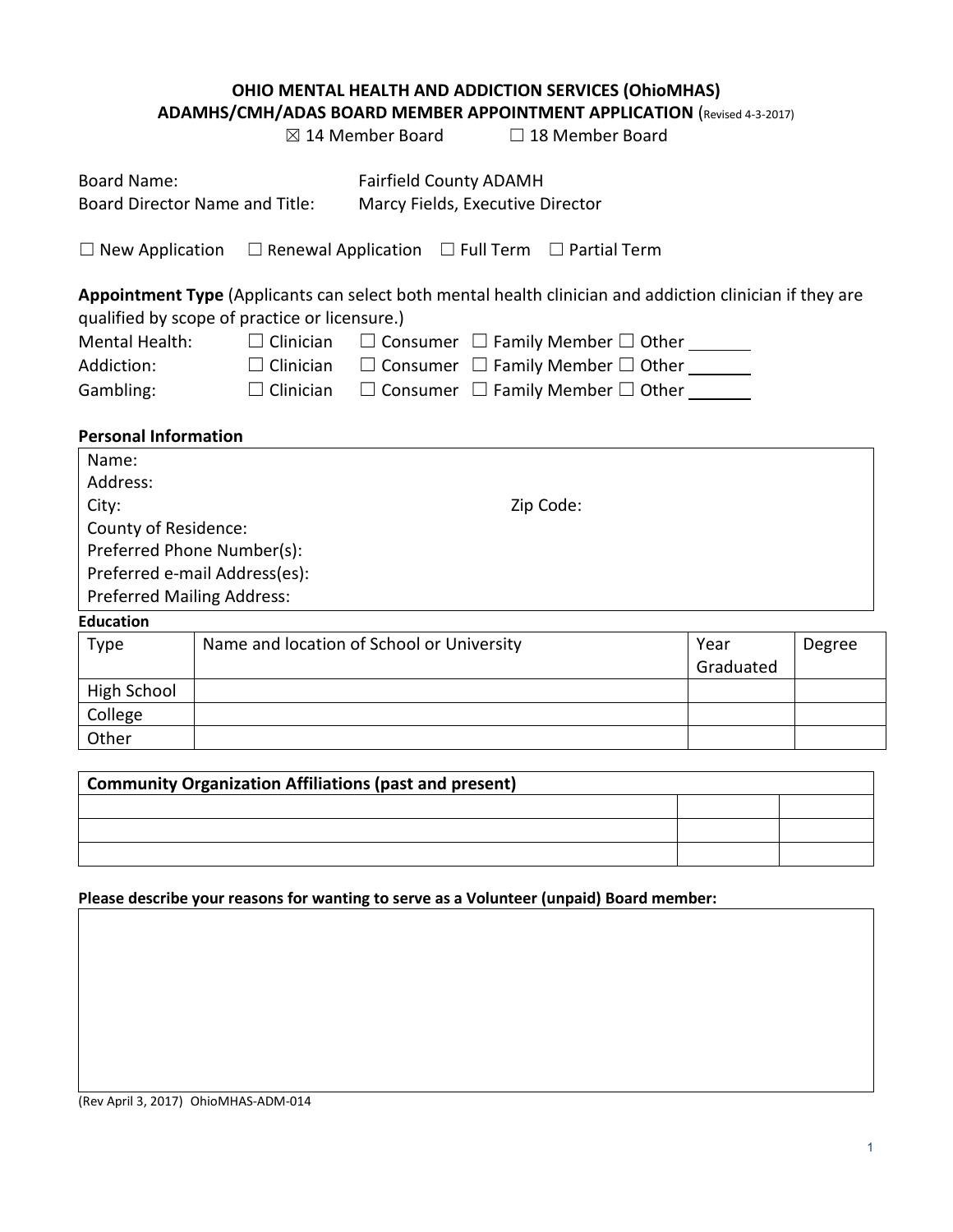# **OHIO MENTAL HEALTH AND ADDICTION SERVICES (OhioMHAS)**

**ADAMHS/CMH/ADAS BOARD MEMBER APPOINTMENT APPLICATION** (Revised 4-3-2017)

|                                   |                                                                                                                                                           | $\boxtimes$ 14 Member Board                                       |  | $\Box$ 18 Member Board                                    |                   |        |
|-----------------------------------|-----------------------------------------------------------------------------------------------------------------------------------------------------------|-------------------------------------------------------------------|--|-----------------------------------------------------------|-------------------|--------|
| <b>Board Name:</b>                | Board Director Name and Title:                                                                                                                            | <b>Fairfield County ADAMH</b><br>Marcy Fields, Executive Director |  |                                                           |                   |        |
|                                   | $\Box$ New Application $\Box$ Renewal Application $\Box$ Full Term $\Box$ Partial Term                                                                    |                                                                   |  |                                                           |                   |        |
|                                   | Appointment Type (Applicants can select both mental health clinician and addiction clinician if they are<br>qualified by scope of practice or licensure.) |                                                                   |  |                                                           |                   |        |
| <b>Mental Health:</b>             | $\Box$ Clinician                                                                                                                                          |                                                                   |  | $\Box$ Consumer $\Box$ Family Member $\Box$ Other _______ |                   |        |
| Addiction:                        | $\Box$ Clinician                                                                                                                                          |                                                                   |  | $\Box$ Consumer $\Box$ Family Member $\Box$ Other _______ |                   |        |
| Gambling:                         | $\Box$ Clinician                                                                                                                                          |                                                                   |  | $\Box$ Consumer $\Box$ Family Member $\Box$ Other _______ |                   |        |
| <b>Personal Information</b>       |                                                                                                                                                           |                                                                   |  |                                                           |                   |        |
| Name:                             |                                                                                                                                                           |                                                                   |  |                                                           |                   |        |
| Address:                          |                                                                                                                                                           |                                                                   |  |                                                           |                   |        |
| Zip Code:<br>City:                |                                                                                                                                                           |                                                                   |  |                                                           |                   |        |
| County of Residence:              |                                                                                                                                                           |                                                                   |  |                                                           |                   |        |
|                                   | Preferred Phone Number(s):                                                                                                                                |                                                                   |  |                                                           |                   |        |
|                                   | Preferred e-mail Address(es):                                                                                                                             |                                                                   |  |                                                           |                   |        |
| <b>Preferred Mailing Address:</b> |                                                                                                                                                           |                                                                   |  |                                                           |                   |        |
| <b>Education</b>                  |                                                                                                                                                           |                                                                   |  |                                                           |                   |        |
| <b>Type</b>                       | Name and location of School or University                                                                                                                 |                                                                   |  |                                                           | Year<br>Graduated | Degree |
| High School                       |                                                                                                                                                           |                                                                   |  |                                                           |                   |        |

| Community Organization Affiliations (past and present) |  |  |  |  |
|--------------------------------------------------------|--|--|--|--|
|                                                        |  |  |  |  |
|                                                        |  |  |  |  |
|                                                        |  |  |  |  |

**Please describe your reasons for wanting to serve as a Volunteer (unpaid) Board member:**

College **Other**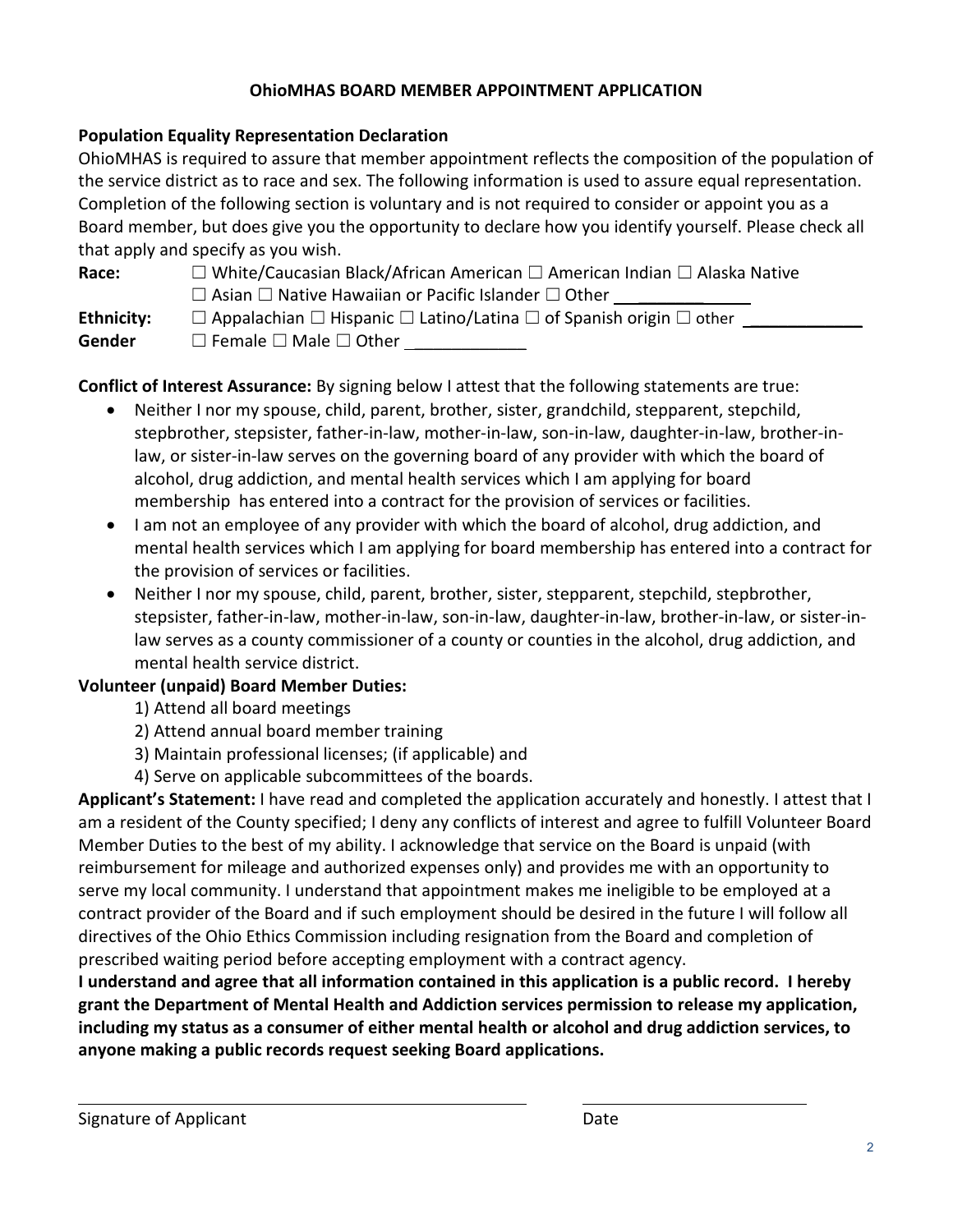## **OhioMHAS BOARD MEMBER APPOINTMENT APPLICATION**

## **Population Equality Representation Declaration**

OhioMHAS is required to assure that member appointment reflects the composition of the population of the service district as to race and sex. The following information is used to assure equal representation. Completion of the following section is voluntary and is not required to consider or appoint you as a Board member, but does give you the opportunity to declare how you identify yourself. Please check all that apply and specify as you wish.

| Race:      | □ White/Caucasian Black/African American □ American Indian □ Alaska Native                    |
|------------|-----------------------------------------------------------------------------------------------|
|            | $\Box$ Asian $\Box$ Native Hawaiian or Pacific Islander $\Box$ Other                          |
| Ethnicity: | $\Box$ Appalachian $\Box$ Hispanic $\Box$ Latino/Latina $\Box$ of Spanish origin $\Box$ other |
|            |                                                                                               |

Gender □ Female □ Male □ Other

**Conflict of Interest Assurance:** By signing below I attest that the following statements are true:

- Neither I nor my spouse, child, parent, brother, sister, grandchild, stepparent, stepchild, stepbrother, stepsister, father-in-law, mother-in-law, son-in-law, daughter-in-law, brother-inlaw, or sister-in-law serves on the governing board of any provider with which the board of alcohol, drug addiction, and mental health services which I am applying for board membership has entered into a contract for the provision of services or facilities.
- I am not an employee of any provider with which the board of alcohol, drug addiction, and mental health services which I am applying for board membership has entered into a contract for the provision of services or facilities.
- Neither I nor my spouse, child, parent, brother, sister, stepparent, stepchild, stepbrother, stepsister, father-in-law, mother-in-law, son-in-law, daughter-in-law, brother-in-law, or sister-inlaw serves as a county commissioner of a county or counties in the alcohol, drug addiction, and mental health service district.

#### **Volunteer (unpaid) Board Member Duties:**

- 1) Attend all board meetings
- 2) Attend annual board member training
- 3) Maintain professional licenses; (if applicable) and
- 4) Serve on applicable subcommittees of the boards.

**Applicant's Statement:** I have read and completed the application accurately and honestly. I attest that I am a resident of the County specified; I deny any conflicts of interest and agree to fulfill Volunteer Board Member Duties to the best of my ability. I acknowledge that service on the Board is unpaid (with reimbursement for mileage and authorized expenses only) and provides me with an opportunity to serve my local community. I understand that appointment makes me ineligible to be employed at a contract provider of the Board and if such employment should be desired in the future I will follow all directives of the Ohio Ethics Commission including resignation from the Board and completion of prescribed waiting period before accepting employment with a contract agency.

**I understand and agree that all information contained in this application is a public record. I hereby grant the Department of Mental Health and Addiction services permission to release my application, including my status as a consumer of either mental health or alcohol and drug addiction services, to anyone making a public records request seeking Board applications.**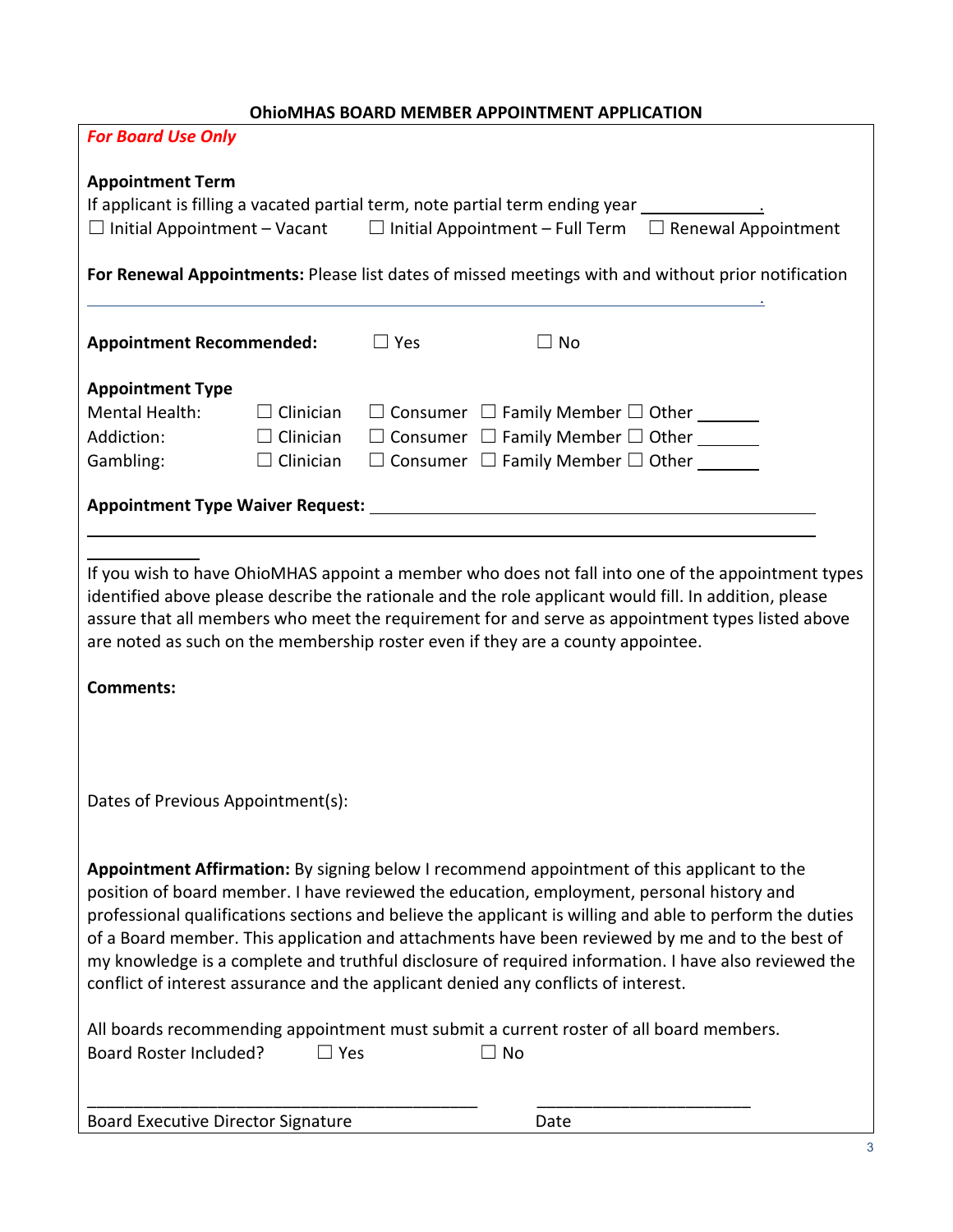|                                                                                                                                                                                                                                         |                  |            | <b>UIIIUIVINAS DUAND IVILIVIDEN AFFUIIVI IVILIVI AFFEICATIUIV</b>                                                                                                            |                                                                                                                                                                                                                                                                                                                                                                                                                                                                                                                |  |
|-----------------------------------------------------------------------------------------------------------------------------------------------------------------------------------------------------------------------------------------|------------------|------------|------------------------------------------------------------------------------------------------------------------------------------------------------------------------------|----------------------------------------------------------------------------------------------------------------------------------------------------------------------------------------------------------------------------------------------------------------------------------------------------------------------------------------------------------------------------------------------------------------------------------------------------------------------------------------------------------------|--|
| <b>For Board Use Only</b>                                                                                                                                                                                                               |                  |            |                                                                                                                                                                              |                                                                                                                                                                                                                                                                                                                                                                                                                                                                                                                |  |
| <b>Appointment Term</b><br>If applicant is filling a vacated partial term, note partial term ending year _____________________<br>$\Box$ Initial Appointment – Vacant $\Box$ Initial Appointment – Full Term $\Box$ Renewal Appointment |                  |            |                                                                                                                                                                              |                                                                                                                                                                                                                                                                                                                                                                                                                                                                                                                |  |
|                                                                                                                                                                                                                                         |                  |            |                                                                                                                                                                              | For Renewal Appointments: Please list dates of missed meetings with and without prior notification                                                                                                                                                                                                                                                                                                                                                                                                             |  |
| <b>Appointment Recommended:</b>                                                                                                                                                                                                         |                  | $\Box$ Yes | $\Box$ No                                                                                                                                                                    |                                                                                                                                                                                                                                                                                                                                                                                                                                                                                                                |  |
| <b>Appointment Type</b>                                                                                                                                                                                                                 |                  |            |                                                                                                                                                                              |                                                                                                                                                                                                                                                                                                                                                                                                                                                                                                                |  |
| Mental Health:                                                                                                                                                                                                                          | $\Box$ Clinician |            | $\Box$ Consumer $\Box$ Family Member $\Box$ Other _______                                                                                                                    |                                                                                                                                                                                                                                                                                                                                                                                                                                                                                                                |  |
| Addiction:                                                                                                                                                                                                                              | $\Box$ Clinician |            | $\Box$ Consumer $\Box$ Family Member $\Box$ Other _______                                                                                                                    |                                                                                                                                                                                                                                                                                                                                                                                                                                                                                                                |  |
| Gambling:                                                                                                                                                                                                                               | $\Box$ Clinician |            | $\Box$ Consumer $\Box$ Family Member $\Box$ Other ______                                                                                                                     |                                                                                                                                                                                                                                                                                                                                                                                                                                                                                                                |  |
|                                                                                                                                                                                                                                         |                  |            |                                                                                                                                                                              |                                                                                                                                                                                                                                                                                                                                                                                                                                                                                                                |  |
|                                                                                                                                                                                                                                         |                  |            |                                                                                                                                                                              |                                                                                                                                                                                                                                                                                                                                                                                                                                                                                                                |  |
| <b>Comments:</b>                                                                                                                                                                                                                        |                  |            | are noted as such on the membership roster even if they are a county appointee.                                                                                              | If you wish to have OhioMHAS appoint a member who does not fall into one of the appointment types<br>identified above please describe the rationale and the role applicant would fill. In addition, please<br>assure that all members who meet the requirement for and serve as appointment types listed above                                                                                                                                                                                                 |  |
| Dates of Previous Appointment(s):                                                                                                                                                                                                       |                  |            |                                                                                                                                                                              |                                                                                                                                                                                                                                                                                                                                                                                                                                                                                                                |  |
|                                                                                                                                                                                                                                         |                  |            | conflict of interest assurance and the applicant denied any conflicts of interest.<br>All boards recommending appointment must submit a current roster of all board members. | Appointment Affirmation: By signing below I recommend appointment of this applicant to the<br>position of board member. I have reviewed the education, employment, personal history and<br>professional qualifications sections and believe the applicant is willing and able to perform the duties<br>of a Board member. This application and attachments have been reviewed by me and to the best of<br>my knowledge is a complete and truthful disclosure of required information. I have also reviewed the |  |
| <b>Board Roster Included?</b>                                                                                                                                                                                                           | $\square$ Yes    |            | $\Box$ No                                                                                                                                                                    |                                                                                                                                                                                                                                                                                                                                                                                                                                                                                                                |  |

Board Executive Director Signature **Date** Date

\_\_\_\_\_\_\_\_\_\_\_\_\_\_\_\_\_\_\_\_\_\_\_\_\_\_\_\_\_\_\_\_\_\_\_\_\_\_\_\_\_\_ \_\_\_\_\_\_\_\_\_\_\_\_\_\_\_\_\_\_\_\_\_\_\_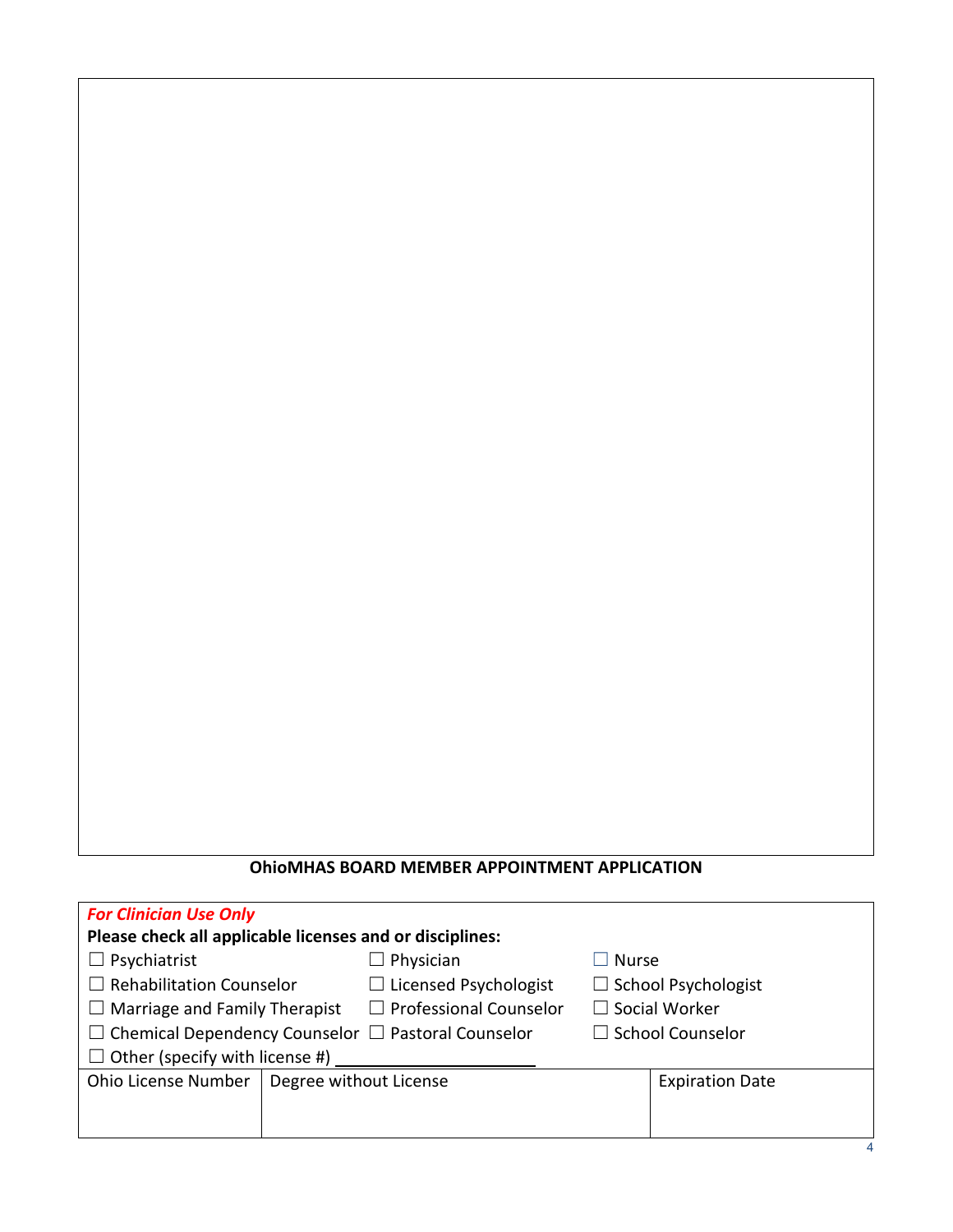#### **OhioMHAS BOARD MEMBER APPOINTMENT APPLICATION**

| <b>For Clinician Use Only</b>                                  |                        |                                  |                            |                        |  |
|----------------------------------------------------------------|------------------------|----------------------------------|----------------------------|------------------------|--|
| Please check all applicable licenses and or disciplines:       |                        |                                  |                            |                        |  |
| $\Box$ Psychiatrist                                            |                        | $\Box$ Physician<br><b>Nurse</b> |                            |                        |  |
| $\Box$ Rehabilitation Counselor                                |                        | $\Box$ Licensed Psychologist     | $\Box$ School Psychologist |                        |  |
| $\Box$ Marriage and Family Therapist                           |                        | $\Box$ Professional Counselor    | $\Box$ Social Worker       |                        |  |
| $\Box$ Chemical Dependency Counselor $\Box$ Pastoral Counselor |                        |                                  | $\Box$ School Counselor    |                        |  |
| $\Box$ Other (specify with license #)                          |                        |                                  |                            |                        |  |
| Ohio License Number                                            | Degree without License |                                  |                            | <b>Expiration Date</b> |  |
|                                                                |                        |                                  |                            |                        |  |
|                                                                |                        |                                  |                            |                        |  |